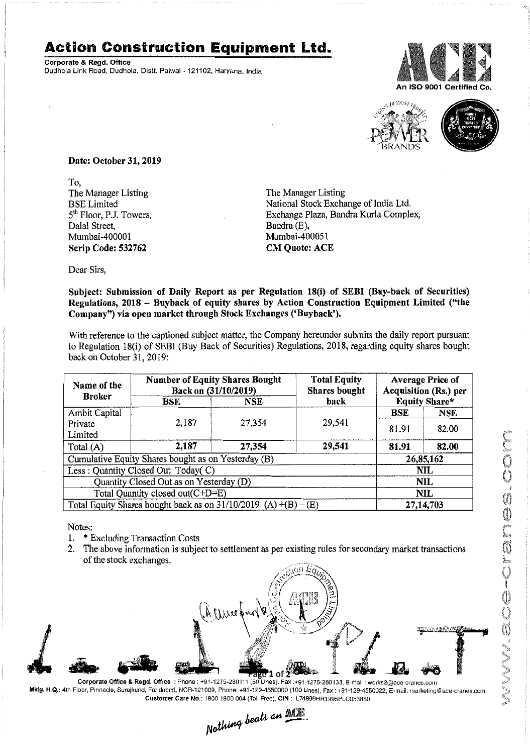## **Action Construction Equipment Ltd.**

Corporate & Regd. Office Dudhola Link Road, Dudhola, Distt. Palwal - 121102, Haryana, India





Date: October 31, 2019

To, The Manager Listing BSE Limited 5<sup>th</sup> Floor, P.J. Towers, Dalal Street, Mumbai~400001 Scrip Code: 532762

The Manager Listing National Stock Exchange of India Ltd. Exchange Plaza, Bandra Kurla Complex, Bandra(E), Mumbai-400051 CM Quote: ACE

Dear Sirs,

Subject: Submission of Daily Report as per Regulation 18(i) of SEBI (Buy-back of Securities) Regulations, 2018 - Buyback of equity shares by Action Construction Equipment Limited ("the Company") via open market through Stock Exchanges ('Buyback').

With reference to the captioned subject matter, the Company hereunder submits the daily report pursuant to Regulation 18(i) of SEBI (Buy Back of Securities) Regulations, 2018, regarding equity shares bought back on October 31,2019:

| Name of the                                                       | <b>Number of Equity Shares Bought</b><br>Back on (31/10/2019) |            | <b>Total Equity</b><br>Shares bought | <b>Average Price of</b><br>Acquisition (Rs.) per |            |  |
|-------------------------------------------------------------------|---------------------------------------------------------------|------------|--------------------------------------|--------------------------------------------------|------------|--|
| <b>Broker</b>                                                     | <b>BSE</b>                                                    | <b>NSE</b> | back                                 | <b>Equity Share*</b>                             |            |  |
| Ambit Capital                                                     |                                                               |            | 29,541                               | BSE                                              | <b>NSE</b> |  |
| Private                                                           | 2,187                                                         | 27,354     |                                      | 81.91                                            | 82.00      |  |
| Limited                                                           |                                                               |            |                                      |                                                  |            |  |
| Total (A)                                                         | 2,187                                                         | 27,354     | 29,541                               | 81.91                                            | 82.00      |  |
| Cumulative Equity Shares bought as on Yesterday (B)               |                                                               |            |                                      |                                                  | 26,85,162  |  |
| Less: Quantity Closed Out Today(C)                                |                                                               |            |                                      | NIL                                              |            |  |
| Quantity Closed Out as on Yesterday (D)                           |                                                               |            |                                      | <b>NIL</b>                                       |            |  |
| Total Quantity closed out(C+D=E)                                  |                                                               |            |                                      | NIL                                              |            |  |
| Total Equity Shares bought back as on $31/10/2019$ (A) $+(B)-(E)$ |                                                               |            |                                      | 27,14,703                                        |            |  |

Notes:

- 1. \* Excluding Transaction Costs<br>2. The above information is subje
- 2. The above information is subject to settlement as per existing rules for secondary market transactions of the stock exchanges.



Mktg. H.Q.: 4th Floor. Pinnacle, Surajkund, Faridabad, NCR-121009, Phone: +91-129-4550000 (100 Lines), Fax: +91-129-4550022.E-mail: marketing@ace-cranes,com

Customer Care No.: 1800 1800 004 (Toll Free), CIN: L74899HR1995PLC053860<br>
Mathimg beats an **Alli**